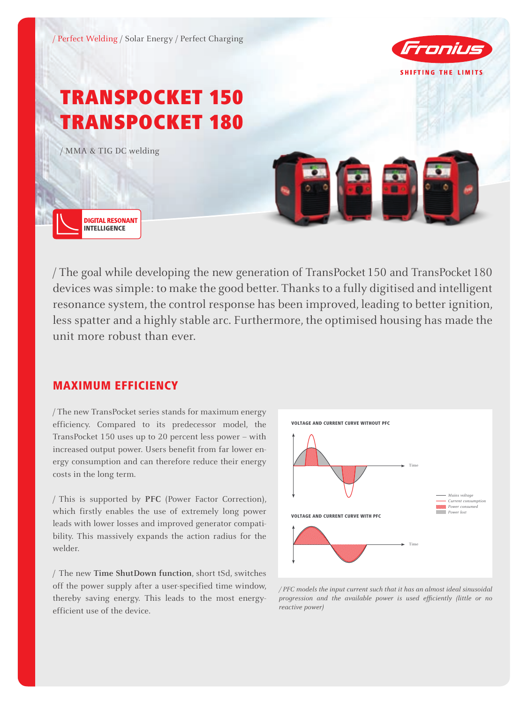

/ The goal while developing the new generation of TransPocket150 and TransPocket180 devices was simple: to make the good better. Thanks to a fully digitised and intelligent resonance system, the control response has been improved, leading to better ignition, less spatter and a highly stable arc. Furthermore, the optimised housing has made the unit more robust than ever.

## MAXIMUM EFFICIENCY

/ The new TransPocket series stands for maximum energy efficiency. Compared to its predecessor model, the TransPocket 150 uses up to 20 percent less power – with increased output power. Users benefit from far lower energy consumption and can therefore reduce their energy costs in the long term.

/ This is supported by **PFC** (Power Factor Correction), which firstly enables the use of extremely long power leads with lower losses and improved generator compatibility. This massively expands the action radius for the welder.

/ The new **Time ShutDown function**, short tSd, switches off the power supply after a user-specified time window, thereby saving energy. This leads to the most energyefficient use of the device.



*/ PFC models the input current such that it has an almost ideal sinusoidal progression and the available power is used efficiently (little or no reactive power)*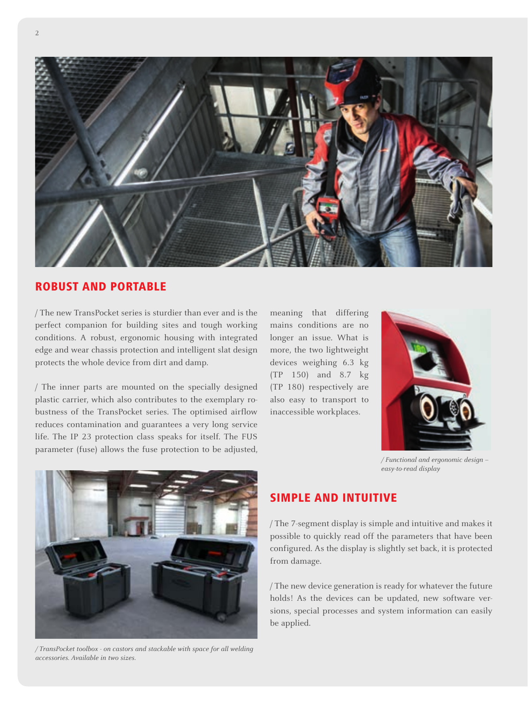

#### ROBUST AND PORTABLE

/ The new TransPocket series is sturdier than ever and is the perfect companion for building sites and tough working conditions. A robust, ergonomic housing with integrated edge and wear chassis protection and intelligent slat design protects the whole device from dirt and damp.

/ The inner parts are mounted on the specially designed plastic carrier, which also contributes to the exemplary robustness of the TransPocket series. The optimised airflow reduces contamination and guarantees a very long service life. The IP 23 protection class speaks for itself. The FUS parameter (fuse) allows the fuse protection to be adjusted,

meaning that differing mains conditions are no longer an issue. What is more, the two lightweight devices weighing 6.3 kg (TP 150) and 8.7 kg (TP 180) respectively are also easy to transport to inaccessible workplaces.



*/ Functional and ergonomic design – easy-to-read display*



*/ TransPocket toolbox - on castors and stackable with space for all welding accessories. Available in two sizes.*

## SIMPLE AND INTUITIVE

/ The 7-segment display is simple and intuitive and makes it possible to quickly read off the parameters that have been configured. As the display is slightly set back, it is protected from damage.

/ The new device generation is ready for whatever the future holds! As the devices can be updated, new software versions, special processes and system information can easily be applied.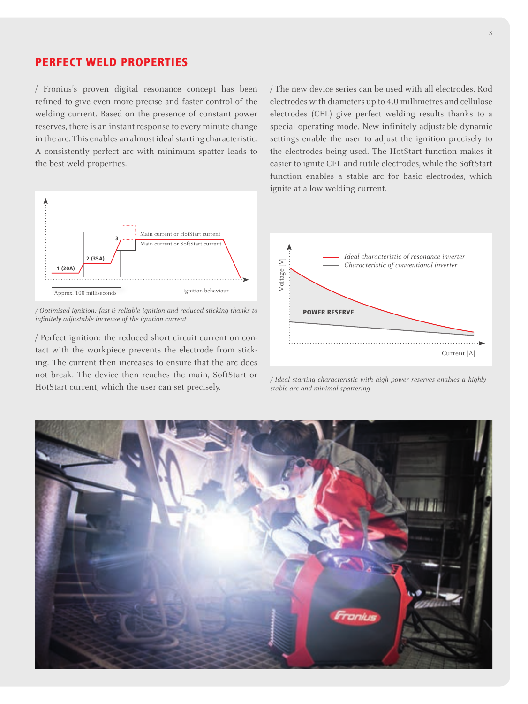#### PERFECT WELD PROPERTIES

/ Fronius's proven digital resonance concept has been refined to give even more precise and faster control of the welding current. Based on the presence of constant power reserves, there is an instant response to every minute change in the arc. This enables an almost ideal starting characteristic. A consistently perfect arc with minimum spatter leads to the best weld properties.



*/ Optimised ignition: fast & reliable ignition and reduced sticking thanks to infinitely adjustable increase of the ignition current*

/ Perfect ignition: the reduced short circuit current on contact with the workpiece prevents the electrode from sticking. The current then increases to ensure that the arc does not break. The device then reaches the main, SoftStart or HotStart current, which the user can set precisely.

/ The new device series can be used with all electrodes. Rod electrodes with diameters up to 4.0 millimetres and cellulose electrodes (CEL) give perfect welding results thanks to a special operating mode. New infinitely adjustable dynamic settings enable the user to adjust the ignition precisely to the electrodes being used. The HotStart function makes it easier to ignite CEL and rutile electrodes, while the SoftStart function enables a stable arc for basic electrodes, which ignite at a low welding current.



*/ Ideal starting characteristic with high power reserves enables a highly stable arc and minimal spattering*